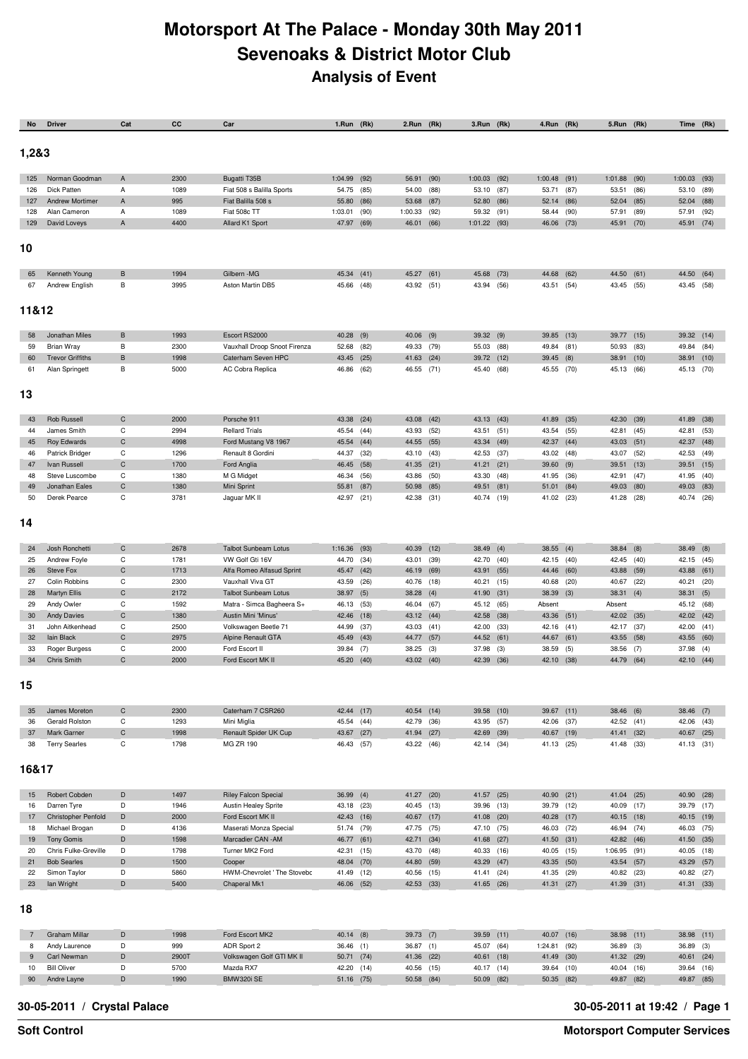## **Motorsport At The Palace - Monday 30th May 2011 Sevenoaks & District Motor Club Analysis of Event**

| No             | <b>Driver</b>                       | Cat              | СC           | Car                                      | 1.Run (Rk)                |      | 2.Run (Rk)                |              | 3.Run (Rk)               |              | 4.Run (Rk)                 |              | 5.Run (Rk)              |      | Time (Rk)                 |      |
|----------------|-------------------------------------|------------------|--------------|------------------------------------------|---------------------------|------|---------------------------|--------------|--------------------------|--------------|----------------------------|--------------|-------------------------|------|---------------------------|------|
|                |                                     |                  |              |                                          |                           |      |                           |              |                          |              |                            |              |                         |      |                           |      |
| 1,2&3          |                                     |                  |              |                                          |                           |      |                           |              |                          |              |                            |              |                         |      |                           |      |
|                |                                     |                  |              |                                          |                           |      |                           |              |                          |              |                            |              |                         |      |                           |      |
| 125            | Norman Goodman                      | A                | 2300         | Bugatti T35B                             | 1:04.99 (92)              |      | 56.91 (90)                |              | $1:00.03$ (92)           |              | 1:00.48                    | (91)         | 1:01.88                 | (90) | $1:00.03$ (93)            |      |
| 126            | Dick Patten                         | Α                | 1089         | Fiat 508 s Balilla Sports                | 54.75                     | (85) | 54.00                     | (88)         | 53.10                    | (87)         | 53.71                      | (87)         | 53.51                   | (86) | 53.10                     | (89) |
| 127            | <b>Andrew Mortimer</b>              | Α                | 995          | Fiat Balilla 508 s                       | 55.80                     | (86) | 53.68                     | (87)         | 52.80                    | (86)         | 52.14                      | (86)         | 52.04                   | (85) | 52.04 (88)                |      |
| 128            | Alan Cameron                        | Α                | 1089         | Fiat 508c TT                             | 1:03.01                   | (90) | 1:00.33                   | (92)         | 59.32                    | (91)         | 58.44                      | (90)         | 57.91                   | (89) | 57.91                     | (92) |
| 129            | David Loveys                        | A                | 4400         | Allard K1 Sport                          | 47.97 (69)                |      | 46.01 (66)                |              | 1:01.22 (93)             |              | 46.06 (73)                 |              | 45.91 (70)              |      | 45.91 (74)                |      |
|                |                                     |                  |              |                                          |                           |      |                           |              |                          |              |                            |              |                         |      |                           |      |
| 10             |                                     |                  |              |                                          |                           |      |                           |              |                          |              |                            |              |                         |      |                           |      |
|                |                                     |                  |              |                                          |                           |      |                           |              |                          |              |                            |              |                         |      |                           |      |
| 65             | Kenneth Young                       | B                | 1994         | Gilbern -MG                              | 45.34                     | (41) | 45.27                     | (61)         | 45.68                    | (73)         | 44.68                      | (62)         | 44.50                   | (61) | 44.50                     | (64) |
| 67             | Andrew English                      | В                | 3995         | Aston Martin DB5                         | 45.66 (48)                |      | 43.92 (51)                |              | 43.94                    | (56)         | 43.51                      | (54)         | 43.45 (55)              |      | 43.45 (58)                |      |
|                |                                     |                  |              |                                          |                           |      |                           |              |                          |              |                            |              |                         |      |                           |      |
| 11&12          |                                     |                  |              |                                          |                           |      |                           |              |                          |              |                            |              |                         |      |                           |      |
|                |                                     |                  |              |                                          |                           |      |                           |              |                          |              |                            |              |                         |      |                           |      |
| 58             | Jonathan Miles                      | B                | 1993         | Escort RS2000                            | 40.28 (9)                 |      | 40.06                     | (9)          | 39.32(9)                 |              | 39.85                      | (13)         | 39.77                   | (15) | 39.32 (14)                |      |
| 59             | <b>Brian Wray</b>                   | В                | 2300         | Vauxhall Droop Snoot Firenza             | 52.68                     | (82) | 49.33                     | (79)         | 55.03                    | (88)         | 49.84                      | (81)         | 50.93                   | (83) | 49.84                     | (84) |
| 60             | <b>Trevor Griffiths</b>             | B                | 1998         | Caterham Seven HPC                       | 43.45 (25)                |      | 41.63 (24)                |              | 39.72                    | (12)         | 39.45                      | (8)          | 38.91 (10)              |      | 38.91 (10)                |      |
| 61             | Alan Springett                      | В                | 5000         | AC Cobra Replica                         | 46.86                     | (62) | 46.55                     | (71)         | 45.40                    | (68)         | 45.55                      | (70)         | 45.13 (66)              |      | 45.13 (70)                |      |
|                |                                     |                  |              |                                          |                           |      |                           |              |                          |              |                            |              |                         |      |                           |      |
| 13             |                                     |                  |              |                                          |                           |      |                           |              |                          |              |                            |              |                         |      |                           |      |
|                |                                     |                  |              |                                          |                           |      |                           |              |                          |              |                            |              |                         |      |                           |      |
| 43             | <b>Rob Russell</b>                  | C                | 2000         | Porsche 911                              | 43.38 (24)                |      | 43.08 (42)                |              | 43.13 (43)               |              | 41.89                      | (35)         | 42.30 (39)              |      | 41.89 (38)                |      |
| 44             | James Smith                         | C                | 2994         | <b>Rellard Trials</b>                    | 45.54                     | (44) | 43.93                     | (52)         | 43.51                    | (51)         | 43.54                      | (55)         | 42.81                   | (45) | 42.81                     | (53) |
| 45             | <b>Roy Edwards</b>                  | $\mathsf C$      | 4998         | Ford Mustang V8 1967                     | 45.54 (44)                |      | 44.55 (55)                |              | 43.34                    | (49)         | 42.37                      | (44)         | 43.03 (51)              |      | 42.37 (48)                |      |
| 46             | Patrick Bridger                     | С                | 1296         | Renault 8 Gordini                        | 44.37                     | (32) | 43.10                     | (43)         | 42.53                    | (37)         | 43.02                      | (48)         | 43.07                   | (52) | 42.53 (49)                |      |
| 47             | Ivan Russell<br>Steve Luscombe      | C<br>С           | 1700<br>1380 | Ford Anglia                              | 46.45 (58)                |      | 41.35                     | (21)         | 41.21                    | (21)         | 39.60                      | (9)          | 39.51                   | (13) | 39.51 (15)                |      |
| 48<br>49       | Jonathan Eales                      | $\mathsf C$      | 1380         | M G Midget<br>Mini Sprint                | 46.34<br>55.81 (87)       | (56) | 43.86<br>50.98            | (50)<br>(85) | 43.30<br>49.51           | (48)<br>(81) | 41.95<br>51.01             | (36)<br>(84) | 42.91<br>49.03 (80)     | (47) | 41.95 (40)<br>49.03 (83)  |      |
| 50             | Derek Pearce                        | С                | 3781         | Jaguar MK II                             | 42.97 (21)                |      | 42.38                     | (31)         | 40.74                    | (19)         | 41.02                      | (23)         | 41.28 (28)              |      | 40.74 (26)                |      |
|                |                                     |                  |              |                                          |                           |      |                           |              |                          |              |                            |              |                         |      |                           |      |
| 14             |                                     |                  |              |                                          |                           |      |                           |              |                          |              |                            |              |                         |      |                           |      |
|                |                                     |                  |              |                                          |                           |      |                           |              |                          |              |                            |              |                         |      |                           |      |
| 24             | Josh Ronchetti                      | C                | 2678         | <b>Talbot Sunbeam Lotus</b>              | 1:16.36                   | (93) | 40.39 (12)                |              | 38.49                    | (4)          | 38.55                      | (4)          | 38.84                   | (8)  | $38.49$ (8)               |      |
| 25             | Andrew Foyle                        | C                | 1781         | VW Golf Gti 16V                          | 44.70                     | (34) | 43.01                     | (39)         | 42.70                    | (40)         | 42.15                      | (40)         | 42.45                   | (40) | 42.15 (45)                |      |
| 26             | Steve Fox                           | $\mathsf C$      | 1713         | Alfa Romeo Alfasud Sprint                | 45.47                     | (42) | 46.19 (69)                |              | 43.91                    | (55)         | 44.46                      | (60)         | 43.88                   | (59) | 43.88 (61)                |      |
| 27             | Colin Robbins                       | С                | 2300         | Vauxhall Viva GT                         | 43.59                     | (26) | 40.76                     | (18)         | 40.21                    | (15)         | 40.68                      | (20)         | 40.67                   | (22) | 40.21                     | (20) |
| 28             | <b>Martyn Ellis</b>                 | $\mathsf C$      | 2172         | <b>Talbot Sunbeam Lotus</b>              | 38.97                     | (5)  | 38.28(4)                  |              | 41.90 (31)               |              | 38.39                      | (3)          | 38.31(4)                |      | 38.31(5)                  |      |
| 29             | Andy Owler                          | С                | 1592         | Matra - Simca Bagheera S+                | 46.13                     | (53) | 46.04 (67)                |              | 45.12                    | (65)         | Absent                     |              | Absent                  |      | 45.12 (68)                |      |
| 30             | <b>Andy Davies</b>                  | C                | 1380         | Austin Mini 'Minus'                      | 42.46 (18)                |      | 43.12 (44)                |              | 42.58                    | (38)         | 43.36                      | (51)         | 42.02 (35)              |      | 42.02 (42)                |      |
| 31             | John Aitkenhead                     | С                | 2500         | Volkswagen Beetle 71                     | 44.99                     | (37) | 43.03                     | (41)         | 42.00                    | (33)         | 42.16                      | (41)         | 42.17                   | (37) | 42.00                     | (41) |
| 32             | Iain Black                          | $\mathsf C$      | 2975         | Alpine Renault GTA                       | 45.49 (43)                |      | 44.77 (57)                |              | 44.52                    | (61)         | 44.67                      | (61)         | 43.55 (58)              |      | 43.55 (60)                |      |
| 33<br>34       | Roger Burgess<br><b>Chris Smith</b> | С<br>$\mathsf C$ | 2000<br>2000 | Ford Escort II<br>Ford Escort MK II      | 39.84 (7)<br>45.20 (40)   |      | 38.25<br>43.02 (40)       | (3)          | 37.98<br>42.39 (36)      | (3)          | 38.59<br>42.10 (38)        | (5)          | 38.56<br>44.79 (64)     | (7)  | 37.98<br>42.10 (44)       | (4)  |
|                |                                     |                  |              |                                          |                           |      |                           |              |                          |              |                            |              |                         |      |                           |      |
|                |                                     |                  |              |                                          |                           |      |                           |              |                          |              |                            |              |                         |      |                           |      |
| 15             |                                     |                  |              |                                          |                           |      |                           |              |                          |              |                            |              |                         |      |                           |      |
|                | James Moreton                       | $\mathsf C$      | 2300         | Caterham 7 CSR260                        | 42.44 (17)                |      | 40.54 (14)                |              | 39.58 (10)               |              | 39.67 (11)                 |              | 38.46 (6)               |      | 38.46 (7)                 |      |
| 35<br>36       | Gerald Rolston                      | C                | 1293         | Mini Miglia                              | 45.54 (44)                |      | 42.79 (36)                |              | 43.95 (57)               |              | 42.06                      | (37)         | 42.52 (41)              |      | 42.06 (43)                |      |
| 37             | Mark Garner                         | $\mathtt{C}$     | 1998         | Renault Spider UK Cup                    | 43.67 (27)                |      | 41.94 (27)                |              | 42.69 (39)               |              | 40.67 (19)                 |              | 41.41 (32)              |      | 40.67 (25)                |      |
| 38             | <b>Terry Searles</b>                | C                | 1798         | MG ZR 190                                | 46.43 (57)                |      | 43.22 (46)                |              | 42.14 (34)               |              | 41.13 (25)                 |              | 41.48 (33)              |      | 41.13 (31)                |      |
|                |                                     |                  |              |                                          |                           |      |                           |              |                          |              |                            |              |                         |      |                           |      |
| 16&17          |                                     |                  |              |                                          |                           |      |                           |              |                          |              |                            |              |                         |      |                           |      |
|                |                                     |                  |              |                                          |                           |      |                           |              |                          |              |                            |              |                         |      |                           |      |
| 15             | Robert Cobden                       | D                | 1497         | <b>Riley Falcon Special</b>              | $36.99$ (4)               |      | 41.27 (20)                |              | 41.57 (25)               |              | 40.90 (21)                 |              | 41.04 (25)              |      | 40.90 (28)                |      |
| 16             | Darren Tyre                         | D                | 1946         | <b>Austin Healey Sprite</b>              | 43.18 (23)                |      | 40.45 (13)                |              | 39.96 (13)               |              | 39.79 (12)                 |              | 40.09 (17)              |      | 39.79 (17)                |      |
| 17             | <b>Christopher Penfold</b>          | D                | 2000         | Ford Escort MK II                        | 42.43 (16)                |      | 40.67 (17)                |              | 41.08 (20)               |              | 40.28 (17)                 |              | 40.15 (18)              |      | 40.15 (19)                |      |
| 18             | Michael Brogan                      | D                | 4136         | Maserati Monza Special                   | 51.74 (79)                |      | 47.75 (75)                |              | 47.10 (75)               |              | 46.03 (72)                 |              | 46.94 (74)              |      | 46.03 (75)                |      |
| 19             | <b>Tony Gomis</b>                   | D                | 1598         | Marcadier CAN - AM                       | 46.77 (61)                |      | 42.71 (34)                |              | 41.68 (27)               |              | 41.50 (31)                 |              | 42.82 (46)              |      | 41.50 (35)                |      |
| 20             | Chris Fulke-Greville                | D                | 1798         | Turner MK2 Ford                          | 42.31 (15)                |      | 43.70 (48)                |              | 40.33 (16)               |              | 40.05 (15)                 |              | 1:06.95 (91)            |      | 40.05 (18)                |      |
| 21             | <b>Bob Searles</b>                  | D                | 1500         | Cooper                                   | 48.04 (70)                |      | 44.80 (59)                |              | 43.29 (47)               |              | 43.35                      | (50)         | 43.54 (57)              |      | 43.29 (57)                |      |
| 22             | Simon Taylor                        | D                | 5860         | HWM-Chevrolet ' The Stovebc              | 41.49 (12)                |      | 40.56 (15)                |              | 41.41                    | (24)         | 41.35                      | (29)         | 40.82 (23)              |      | 40.82 (27)                |      |
| 23             | lan Wright                          | D                | 5400         | Chaperal Mk1                             | 46.06 (52)                |      | 42.53 (33)                |              | 41.65 (26)               |              | 41.31 (27)                 |              | 41.39 (31)              |      | 41.31 (33)                |      |
|                |                                     |                  |              |                                          |                           |      |                           |              |                          |              |                            |              |                         |      |                           |      |
| 18             |                                     |                  |              |                                          |                           |      |                           |              |                          |              |                            |              |                         |      |                           |      |
|                |                                     |                  |              |                                          |                           |      |                           |              |                          |              |                            |              |                         |      |                           |      |
| $\overline{7}$ | Graham Millar                       | D                | 1998         | Ford Escort MK2                          | $40.14$ (8)               |      | 39.73 (7)                 |              | 39.59 (11)               |              | 40.07 (16)                 |              | 38.98 (11)              |      | 38.98 (11)                |      |
| 8<br>9         | Andy Laurence<br>Carl Newman        | D<br>D           | 999<br>2900T | ADR Sport 2<br>Volkswagen Golf GTI MK II | $36.46$ (1)<br>50.71 (74) |      | $36.87$ (1)<br>41.36 (22) |              | 45.07 (64)<br>40.61 (18) |              | 1:24.81 (92)<br>41.49 (30) |              | 36.89 (3)<br>41.32 (29) |      | $36.89$ (3)<br>40.61 (24) |      |
| 10             | <b>Bill Oliver</b>                  | D                | 5700         | Mazda RX7                                | 42.20 (14)                |      | 40.56 (15)                |              | 40.17 (14)               |              | 39.64 (10)                 |              | 40.04 (16)              |      | 39.64 (16)                |      |
| 90             | Andre Layne                         | D                | 1990         | BMW320i SE                               | 51.16 (75)                |      | 50.58 (84)                |              | 50.09 (82)               |              | 50.35 (82)                 |              | 49.87 (82)              |      | 49.87 (85)                |      |

## **30-05-2011 / Crystal Palace**

 **30-05-2011 at 19:42 / Page 1**